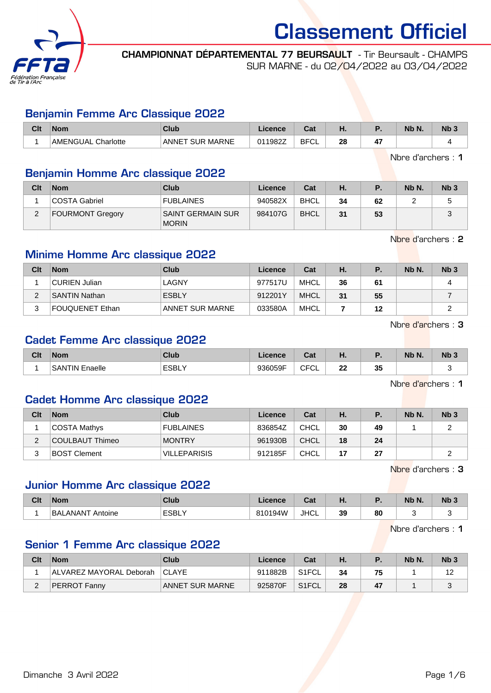

CHAMPIONNAT DÉPARTEMENTAL 77 BEURSAULT - Tir Beursault - CHAMPS SUR MARNE - du 02/04/2022 au 03/04/2022

# Benjamin Femme Arc Classique 2022

| Clt | <b>Nom</b>            | Club                         | .icence | <b>Cost</b><br>uar | п. |                      | Nb N. | Nb 3 |
|-----|-----------------------|------------------------------|---------|--------------------|----|----------------------|-------|------|
|     | AMENGUAL<br>Charlotte | MARNE<br><b>SUR</b><br>'ANNE | 011982Z | <b>BFCI</b><br>◡∟  | 28 | $\overline{a}$<br>≖. |       |      |

Nbre d'archers : 1

# Benjamin Homme Arc classique 2022

| Clt | <b>Nom</b>              | <b>Club</b>                       | Licence | Cat         | Ή. | Р. | Nb N. | Nb <sub>3</sub> |
|-----|-------------------------|-----------------------------------|---------|-------------|----|----|-------|-----------------|
|     | COSTA Gabriel           | <b>FUBLAINES</b>                  | 940582X | BHCL        | 34 | 62 |       |                 |
| ົ   | <b>FOURMONT Gregory</b> | SAINT GERMAIN SUR<br><b>MORIN</b> | 984107G | <b>BHCL</b> | 31 | 53 |       |                 |

Nbre d'archers : 2

# Minime Homme Arc classique 2022

| Clt    | <b>Nom</b>           | Club            | Licence | Cat         | Н. | Р. | Nb N. | Nb <sub>3</sub> |
|--------|----------------------|-----------------|---------|-------------|----|----|-------|-----------------|
|        | CURIEN Julian        | LAGNY           | 977517U | MHCL        | 36 | 61 |       | 4               |
| $\sim$ | <b>SANTIN Nathan</b> | <b>ESBLY</b>    | 912201Y | <b>MHCL</b> | 31 | 55 |       |                 |
| ົ      | FOUQUENET Ethan      | ANNET SUR MARNE | 033580A | MHCL        |    | 12 |       |                 |

Nbre d'archers : 3

# Cadet Femme Arc classique 2022

| Clt | <b>Nom</b>            | Club   | Licence | r.<br>val             | п.       |        | Nb N. | N <sub>b</sub> 3 |
|-----|-----------------------|--------|---------|-----------------------|----------|--------|-------|------------------|
|     | <b>SANTIN Enaelle</b> | 'ESBL\ | 936059F | <b>CEC</b><br>◡∟<br>◡ | nn.<br>" | った<br> |       |                  |

Nbre d'archers : 1

### Cadet Homme Arc classique 2022

| Clt | <b>Nom</b>          | Club                | Licence | Cat         | H. |    | Nb N. | Nb <sub>3</sub> |
|-----|---------------------|---------------------|---------|-------------|----|----|-------|-----------------|
|     | COSTA Mathys        | <b>FUBLAINES</b>    | 836854Z | <b>CHCL</b> | 30 | 49 |       |                 |
|     | COULBAUT Thimeo     | <b>MONTRY</b>       | 961930B | <b>CHCL</b> | 18 | 24 |       |                 |
|     | <b>BOST Clement</b> | <b>VILLEPARISIS</b> | 912185F | <b>CHCL</b> | 17 | 27 |       |                 |

Nbre d'archers : 3

# Junior Homme Arc classique 2022

| Clt | <b>Nom</b>                 | Club   | Licence        | ่ ี่ก+<br>Juan 1990. | п. |    | Nb N. | N <sub>b</sub> 3 |
|-----|----------------------------|--------|----------------|----------------------|----|----|-------|------------------|
|     | <b>BALANANT</b><br>Antoine | ็ESBL\ | 810194W<br>. . | <b>JHCL</b>          | 39 | 80 |       |                  |

Nbre d'archers : 1

# Senior 1 Femme Arc classique 2022

| Clt | <b>Nom</b>              | Club            | Licence | Cat                |    |    | Nb N. | N <sub>b</sub> 3 |
|-----|-------------------------|-----------------|---------|--------------------|----|----|-------|------------------|
|     | ALVAREZ MAYORAL Deborah | <b>ICLAYE</b>   | 911882B | S1FCL              | 34 | 75 |       |                  |
|     | <b>PERROT Fanny</b>     | ANNET SUR MARNE | 925870F | S <sub>1</sub> FCL | 28 | 47 |       |                  |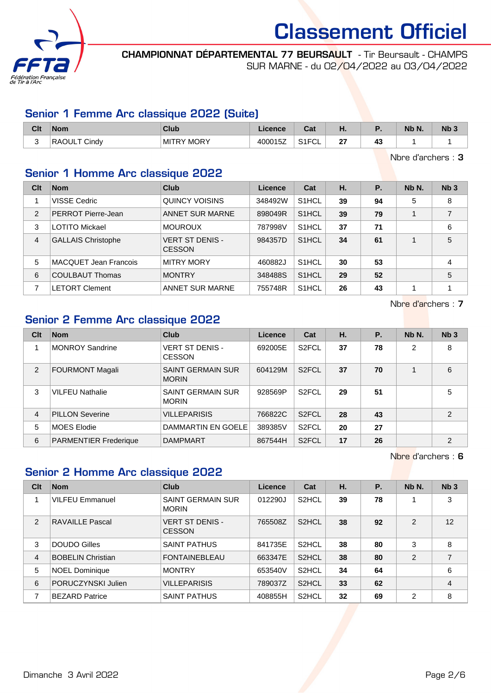

CHAMPIONNAT DÉPARTEMENTAL 77 BEURSAULT - Tir Beursault - CHAMPS SUR MARNE - du 02/04/2022 au 03/04/2022

# Senior 1 Femme Arc classique 2022 (Suite)

| Clt | <b>Nom</b>          | <b>Club</b>       | .icence | $R_{\rm eff}$<br>ual | п.        |   | Nb N. | Nb 3 |
|-----|---------------------|-------------------|---------|----------------------|-----------|---|-------|------|
| ບ   | <b>RAOULT Cindy</b> | <b>MITRY MORY</b> | 400015Z | 0.1501<br>۱۱ ت<br>◡∟ | ^7<br>. . | ∼ |       |      |

Nbre d'archers : 3

# Senior 1 Homme Arc classique 2022

| Clt            | <b>Nom</b>                   | Club                                    | Licence | Cat                | Η. | Ρ. | Nb N. | Nb <sub>3</sub> |
|----------------|------------------------------|-----------------------------------------|---------|--------------------|----|----|-------|-----------------|
|                | VISSE Cedric                 | QUINCY VOISINS                          | 348492W | S <sub>1</sub> HCL | 39 | 94 | 5     | 8               |
| $\overline{2}$ | PERROT Pierre-Jean           | <b>ANNET SUR MARNE</b>                  | 898049R | S <sub>1</sub> HCL | 39 | 79 | 1     | $\overline{7}$  |
| 3              | <b>LOTITO Mickael</b>        | <b>MOUROUX</b>                          | 787998V | S <sub>1</sub> HCL | 37 | 71 |       | 6               |
| $\overline{4}$ | <b>GALLAIS Christophe</b>    | <b>VERT ST DENIS -</b><br><b>CESSON</b> | 984357D | S <sub>1</sub> HCL | 34 | 61 |       | 5               |
| 5              | <b>MACQUET Jean Francois</b> | <b>MITRY MORY</b>                       | 460882J | S <sub>1</sub> HCL | 30 | 53 |       | 4               |
| 6              | <b>COULBAUT Thomas</b>       | <b>MONTRY</b>                           | 348488S | S <sub>1</sub> HCL | 29 | 52 |       | 5               |
| 7              | <b>LETORT Clement</b>        | ANNET SUR MARNE                         | 755748R | S <sub>1</sub> HCL | 26 | 43 |       |                 |

Nbre d'archers : 7

# Senior 2 Femme Arc classique 2022

| Clt            | <b>Nom</b>                   | Club                                     | Licence | Cat                | Η. | <b>P.</b> | Nb N. | Nb <sub>3</sub> |
|----------------|------------------------------|------------------------------------------|---------|--------------------|----|-----------|-------|-----------------|
|                | <b>MONROY Sandrine</b>       | <b>VERT ST DENIS -</b><br><b>CESSON</b>  | 692005E | S <sub>2</sub> FCL | 37 | 78        | 2     | 8               |
| 2              | <b>FOURMONT Magali</b>       | <b>SAINT GERMAIN SUR</b><br><b>MORIN</b> | 604129M | S <sub>2</sub> FCL | 37 | 70        |       | 6               |
| 3              | <b>VILFEU Nathalie</b>       | <b>SAINT GERMAIN SUR</b><br><b>MORIN</b> | 928569P | S <sub>2</sub> FCL | 29 | 51        |       | 5               |
| $\overline{4}$ | <b>PILLON Severine</b>       | <b>VILLEPARISIS</b>                      | 766822C | S <sub>2</sub> FCL | 28 | 43        |       | 2               |
| 5              | <b>MOES Elodie</b>           | DAMMARTIN EN GOELE                       | 389385V | S <sub>2</sub> FCL | 20 | 27        |       |                 |
| 6              | <b>PARMENTIER Frederique</b> | <b>DAMPMART</b>                          | 867544H | S <sub>2</sub> FCL | 17 | 26        |       | 2               |

#### Nbre d'archers : 6

### Senior 2 Homme Arc classique 2022

| Clt | <b>Nom</b>               | Club                                     | <b>Licence</b> | Cat                | Η. | <b>P.</b> | Nb N.          | Nb <sub>3</sub> |
|-----|--------------------------|------------------------------------------|----------------|--------------------|----|-----------|----------------|-----------------|
|     | <b>VILFEU Emmanuel</b>   | <b>SAINT GERMAIN SUR</b><br><b>MORIN</b> | 012290J        | S <sub>2</sub> HCL | 39 | 78        |                | 3               |
| 2   | RAVAILLE Pascal          | <b>VERT ST DENIS -</b><br><b>CESSON</b>  | 765508Z        | S <sub>2</sub> HCL | 38 | 92        | 2              | 12              |
| 3   | DOUDO Gilles             | <b>SAINT PATHUS</b>                      | 841735E        | S <sub>2</sub> HCL | 38 | 80        | 3              | 8               |
| 4   | <b>BOBELIN Christian</b> | <b>FONTAINEBLEAU</b>                     | 663347E        | S <sub>2</sub> HCL | 38 | 80        | $\mathcal{P}$  | $\overline{7}$  |
| 5   | <b>NOEL Dominique</b>    | <b>MONTRY</b>                            | 653540V        | S <sub>2</sub> HCL | 34 | 64        |                | 6               |
| 6   | PORUCZYNSKI Julien       | <b>VILLEPARISIS</b>                      | 789037Z        | S <sub>2</sub> HCL | 33 | 62        |                | 4               |
| ⇁   | <b>BEZARD Patrice</b>    | <b>SAINT PATHUS</b>                      | 408855H        | S <sub>2</sub> HCL | 32 | 69        | $\overline{2}$ | 8               |

Dimanche 3 Avril 2022 **Page 2/6**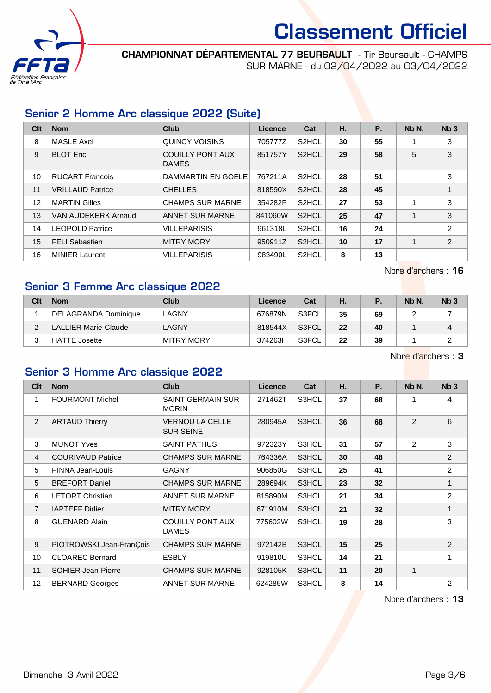

CHAMPIONNAT DÉPARTEMENTAL 77 BEURSAULT - Tir Beursault - CHAMPS SUR MARNE - du 02/04/2022 au 03/04/2022

# Senior 2 Homme Arc classique 2022 (Suite)

| C <sub>it</sub> | <b>Nom</b>              | <b>Club</b>                      | Licence | Cat                | Η. | <b>P.</b> | Nb N. | Nb <sub>3</sub> |
|-----------------|-------------------------|----------------------------------|---------|--------------------|----|-----------|-------|-----------------|
| 8               | <b>MASLE Axel</b>       | QUINCY VOISINS                   | 705777Z | S <sub>2</sub> HCL | 30 | 55        |       | 3               |
| 9               | <b>BLOT Eric</b>        | <b>COUILLY PONT AUX</b><br>DAMES | 851757Y | S <sub>2</sub> HCL | 29 | 58        | 5     | 3               |
| 10              | <b>RUCART Francois</b>  | DAMMARTIN EN GOELE               | 767211A | S <sub>2</sub> HCL | 28 | 51        |       | 3               |
| 11              | <b>VRILLAUD Patrice</b> | <b>CHELLES</b>                   | 818590X | S <sub>2</sub> HCL | 28 | 45        |       | 1               |
| 12              | <b>MARTIN Gilles</b>    | <b>CHAMPS SUR MARNE</b>          | 354282P | S <sub>2</sub> HCL | 27 | 53        |       | 3               |
| 13              | VAN AUDEKERK Arnaud     | <b>ANNET SUR MARNE</b>           | 841060W | S <sub>2</sub> HCL | 25 | 47        | 1     | 3               |
| 14              | <b>LEOPOLD Patrice</b>  | <b>VILLEPARISIS</b>              | 961318L | S <sub>2</sub> HCL | 16 | 24        |       | 2               |
| 15              | <b>FELI Sebastien</b>   | <b>MITRY MORY</b>                | 950911Z | S <sub>2</sub> HCL | 10 | 17        |       | $\overline{2}$  |
| 16              | <b>MINIER Laurent</b>   | <b>VILLEPARISIS</b>              | 983490L | S <sub>2</sub> HCL | 8  | 13        |       |                 |

Nbre d'archers : 16

# Senior 3 Femme Arc classique 2022

| Clt | <b>Nom</b>                  | Club       | Licence | Cat   | н. |    | Nb N. | Nb <sub>3</sub> |
|-----|-----------------------------|------------|---------|-------|----|----|-------|-----------------|
|     | DELAGRANDA Dominique        | LAGNY      | 676879N | S3FCL | 35 | 69 |       |                 |
|     | <b>LALLIER Marie-Claude</b> | LAGNY      | 818544X | S3FCL | 22 | 40 |       | 4               |
|     | HATTE Josette               | MITRY MORY | 374263H | S3FCL | 22 | 39 |       | ∽               |

Nbre d'archers : 3

# Senior 3 Homme Arc classique 2022

| C <sub>lt</sub> | <b>Nom</b>                | <b>Club</b>                                | <b>Licence</b> | Cat   | Η. | <b>P.</b> | Nb N. | Nb <sub>3</sub> |
|-----------------|---------------------------|--------------------------------------------|----------------|-------|----|-----------|-------|-----------------|
| 1               | <b>FOURMONT Michel</b>    | <b>SAINT GERMAIN SUR</b><br><b>MORIN</b>   | 271462T        | S3HCL | 37 | 68        | 1     | 4               |
| 2               | <b>ARTAUD Thierry</b>     | <b>VERNOU LA CELLE</b><br><b>SUR SEINE</b> | 280945A        | S3HCL | 36 | 68        | 2     | 6               |
| 3               | <b>MUNOT Yves</b>         | <b>SAINT PATHUS</b>                        | 972323Y        | S3HCL | 31 | 57        | 2     | 3               |
| 4               | <b>COURIVAUD Patrice</b>  | <b>CHAMPS SUR MARNE</b>                    | 764336A        | S3HCL | 30 | 48        |       | 2               |
| 5               | PINNA Jean-Louis          | <b>GAGNY</b>                               | 906850G        | S3HCL | 25 | 41        |       | 2               |
| 5               | <b>BREFORT Daniel</b>     | <b>CHAMPS SUR MARNE</b>                    | 289694K        | S3HCL | 23 | 32        |       | 1               |
| 6               | <b>LETORT Christian</b>   | <b>ANNET SUR MARNE</b>                     | 815890M        | S3HCL | 21 | 34        |       | $\overline{2}$  |
| $\overline{7}$  | <b>IAPTEFF Didier</b>     | <b>MITRY MORY</b>                          | 671910M        | S3HCL | 21 | 32        |       | 1               |
| 8               | <b>GUENARD Alain</b>      | <b>COUILLY PONT AUX</b><br><b>DAMES</b>    | 775602W        | S3HCL | 19 | 28        |       | 3               |
| 9               | PIOTROWSKI Jean-FranÇois  | <b>CHAMPS SUR MARNE</b>                    | 972142B        | S3HCL | 15 | 25        |       | 2               |
| 10              | <b>CLOAREC Bernard</b>    | <b>ESBLY</b>                               | 919810U        | S3HCL | 14 | 21        |       | 1               |
| 11              | <b>SOHIER Jean-Pierre</b> | <b>CHAMPS SUR MARNE</b>                    | 928105K        | S3HCL | 11 | 20        | 1     |                 |
| 12              | <b>BERNARD Georges</b>    | <b>ANNET SUR MARNE</b>                     | 624285W        | S3HCL | 8  | 14        |       | 2               |

Nbre d'archers : 13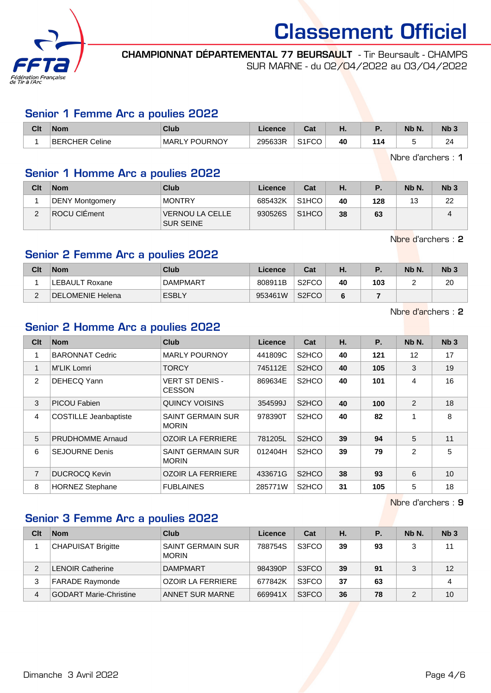

CHAMPIONNAT DÉPARTEMENTAL 77 BEURSAULT - Tir Beursault - CHAMPS SUR MARNE - du 02/04/2022 au 03/04/2022

#### Senior 1 Femme Arc a poulies 2022

| Clt | <b>Nom</b>     | Club          | Licence | <b>Cost</b><br>udl | п. |     | Nb N. | Nb <sub>3</sub> |
|-----|----------------|---------------|---------|--------------------|----|-----|-------|-----------------|
|     | BERCHER Celine | MARLY POURNOY | 295633R | S <sub>1</sub> FCO | 40 | 114 |       | 24              |

Nbre d'archers : 1

#### Senior 1 Homme Arc a poulies 2022

| Clt | <b>Nom</b>             | <b>Club</b>                         | Licence | Cat                | Η. |     | Nb N. | Nb <sub>3</sub> |
|-----|------------------------|-------------------------------------|---------|--------------------|----|-----|-------|-----------------|
|     | <b>DENY Montgomery</b> | <b>MONTRY</b>                       | 685432K | S <sub>1</sub> HCO | 40 | 128 | 13    | 22              |
| ∠   | ROCU CIÉment           | VERNOU LA CELLE<br><b>SUR SEINE</b> | 930526S | S <sub>1</sub> HCO | 38 | 63  |       | 4               |

Nbre d'archers : 2

# Senior 2 Femme Arc a poulies 2022

| Clt | <b>Nom</b>       | Club         | ∟icence | Cat                | н. |     | Nb N. | Nb <sub>3</sub> |
|-----|------------------|--------------|---------|--------------------|----|-----|-------|-----------------|
|     | LEBAULT Roxane   | DAMPMART     | 808911B | S <sub>2</sub> FCO | 40 | 103 |       | 20              |
| ⌒   | DELOMENIE Helena | <b>ESBLY</b> | 953461W | S <sub>2</sub> FCO | 6  |     |       |                 |

Nbre d'archers : 2

# Senior 2 Homme Arc a poulies 2022

| Clt            | <b>Nom</b>                   | Club                                     | Licence | Cat                            | Η. | <b>P.</b> | Nb N. | Nb <sub>3</sub> |
|----------------|------------------------------|------------------------------------------|---------|--------------------------------|----|-----------|-------|-----------------|
|                | <b>BARONNAT Cedric</b>       | <b>MARLY POURNOY</b>                     | 441809C | S <sub>2</sub> H <sub>CO</sub> | 40 | 121       | 12    | 17              |
| 1              | <b>M'LIK Lomri</b>           | <b>TORCY</b>                             | 745112E | S <sub>2</sub> HCO             | 40 | 105       | 3     | 19              |
| $\overline{2}$ | DEHECQ Yann                  | <b>VERT ST DENIS -</b><br><b>CESSON</b>  | 869634E | S <sub>2</sub> HCO             | 40 | 101       | 4     | 16              |
| 3              | <b>PICOU Fabien</b>          | QUINCY VOISINS                           | 354599J | S <sub>2</sub> HCO             | 40 | 100       | 2     | 18              |
| 4              | <b>COSTILLE Jeanbaptiste</b> | <b>SAINT GERMAIN SUR</b><br><b>MORIN</b> | 978390T | S <sub>2</sub> H <sub>CO</sub> | 40 | 82        | 1     | 8               |
| 5              | <b>PRUDHOMME Arnaud</b>      | <b>OZOIR LA FERRIERE</b>                 | 781205L | S <sub>2</sub> HCO             | 39 | 94        | 5     | 11              |
| 6              | <b>SEJOURNE Denis</b>        | <b>SAINT GERMAIN SUR</b><br><b>MORIN</b> | 012404H | S <sub>2</sub> H <sub>CO</sub> | 39 | 79        | 2     | 5               |
| $\overline{7}$ | <b>DUCROCQ Kevin</b>         | <b>OZOIR LA FERRIERE</b>                 | 433671G | S <sub>2</sub> HCO             | 38 | 93        | 6     | 10              |
| 8              | <b>HORNEZ Stephane</b>       | <b>FUBLAINES</b>                         | 285771W | S <sub>2</sub> H <sub>CO</sub> | 31 | 105       | 5     | 18              |

Nbre d'archers : 9

### Senior 3 Femme Arc a poulies 2022

| Clt            | <b>Nom</b>                    | Club                              | Licence | Cat   | Н. | Р. | Nb N. | Nb <sub>3</sub> |
|----------------|-------------------------------|-----------------------------------|---------|-------|----|----|-------|-----------------|
|                | <b>CHAPUISAT Brigitte</b>     | SAINT GERMAIN SUR<br><b>MORIN</b> | 788754S | S3FCO | 39 | 93 | 3     | 11              |
| $\mathfrak{p}$ | <b>LENOIR Catherine</b>       | DAMPMART                          | 984390P | S3FCO | 39 | 91 | 3     | 12              |
| 3              | <b>FARADE Raymonde</b>        | <b>OZOIR LA FERRIERE</b>          | 677842K | S3FCO | 37 | 63 |       | 4               |
| 4              | <b>GODART Marie-Christine</b> | ANNET SUR MARNE                   | 669941X | S3FCO | 36 | 78 |       | 10              |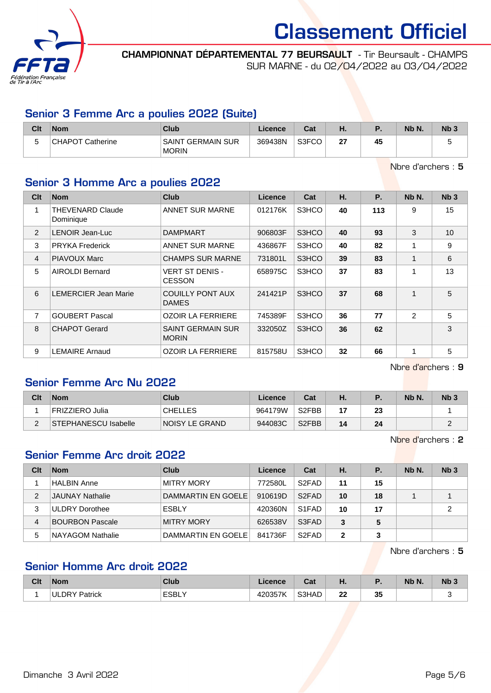

CHAMPIONNAT DÉPARTEMENTAL 77 BEURSAULT - Tir Beursault - CHAMPS SUR MARNE - du 02/04/2022 au 03/04/2022

# Senior 3 Femme Arc a poulies 2022 (Suite)

| Clt    | <b>Nom</b>              | <b>Club</b>                       | Licence | Cat   | п. |    | Nb N. | N <sub>b</sub> 3 |
|--------|-------------------------|-----------------------------------|---------|-------|----|----|-------|------------------|
| ∽<br>ັ | <b>CHAPOT Catherine</b> | SAINT GERMAIN SUR<br><b>MORIN</b> | 369438N | S3FCO | ົ  | 45 |       | ັ                |

Nbre d'archers : 5

# Senior 3 Homme Arc a poulies 2022

| Clt           | <b>Nom</b>                           | <b>Club</b>                              | Licence | Cat   | Η. | <b>P.</b> | Nb N. | Nb <sub>3</sub> |
|---------------|--------------------------------------|------------------------------------------|---------|-------|----|-----------|-------|-----------------|
| 1             | <b>THEVENARD Claude</b><br>Dominique | ANNET SUR MARNE                          | 012176K | S3HCO | 40 | 113       | 9     | 15              |
| $\mathcal{P}$ | LENOIR Jean-Luc                      | <b>DAMPMART</b>                          | 906803F | S3HCO | 40 | 93        | 3     | 10              |
| 3             | <b>PRYKA Frederick</b>               | <b>ANNET SUR MARNE</b>                   | 436867F | S3HCO | 40 | 82        | 1     | 9               |
| 4             | PIAVOUX Marc                         | <b>CHAMPS SUR MARNE</b>                  | 731801L | S3HCO | 39 | 83        | 1     | 6               |
| 5             | <b>AIROLDI Bernard</b>               | <b>VERT ST DENIS -</b><br><b>CESSON</b>  | 658975C | S3HCO | 37 | 83        | 1     | 13              |
| 6             | <b>LEMERCIER Jean Marie</b>          | <b>COUILLY PONT AUX</b><br><b>DAMES</b>  | 241421P | S3HCO | 37 | 68        | 1     | 5               |
| 7             | <b>GOUBERT Pascal</b>                | <b>OZOIR LA FERRIERE</b>                 | 745389F | S3HCO | 36 | 77        | 2     | 5               |
| 8             | <b>CHAPOT Gerard</b>                 | <b>SAINT GERMAIN SUR</b><br><b>MORIN</b> | 332050Z | S3HCO | 36 | 62        |       | 3               |
| 9             | <b>LEMAIRE Arnaud</b>                | <b>OZOIR LA FERRIERE</b>                 | 815758U | S3HCO | 32 | 66        | 1     | 5               |

Nbre d'archers : 9

# Senior Femme Arc Nu 2022

| Clt | <b>Nom</b>           | Club           | Licence | Cat                | Н. |    | Nb N. | Nb <sub>3</sub> |
|-----|----------------------|----------------|---------|--------------------|----|----|-------|-----------------|
|     | FRIZZIERO Julia      | <b>CHELLES</b> | 964179W | S2FBB              |    | 23 |       |                 |
| ⌒   | STEPHANESCU Isabelle | NOISY LE GRAND | 944083C | S <sub>2</sub> FBB | 14 | 24 |       |                 |

Nbre d'archers : 2

# Senior Femme Arc droit 2022

| Clt | <b>Nom</b>             | Club               | Licence | Cat                            | Н.           | Р. | Nb N. | Nb <sub>3</sub> |
|-----|------------------------|--------------------|---------|--------------------------------|--------------|----|-------|-----------------|
|     | HALBIN Anne            | <b>MITRY MORY</b>  | 772580L | S <sub>2</sub> F <sub>AD</sub> | 11           | 15 |       |                 |
| 2   | <b>JAUNAY Nathalie</b> | DAMMARTIN EN GOELE | 910619D | S <sub>2</sub> F <sub>AD</sub> | 10           | 18 |       |                 |
| 3   | ULDRY Dorothee         | <b>ESBLY</b>       | 420360N | S <sub>1</sub> F <sub>AD</sub> | 10           | 17 |       | $\overline{2}$  |
| 4   | <b>BOURBON Pascale</b> | <b>MITRY MORY</b>  | 626538V | S3FAD                          | 3            | 5  |       |                 |
| 5   | NAYAGOM Nathalie       | DAMMARTIN EN GOELE | 841736F | S <sub>2</sub> F <sub>AD</sub> | $\mathbf{2}$ | 3  |       |                 |

Nbre d'archers : 5

# Senior Homme Arc droit 2022

| <b>Clt</b> | <b>Nom</b>              | <b>Club</b>          | <b>Licence</b> | $P - 1$<br>ual | п.       | --       | Nb N. | Nb <sub>3</sub> |
|------------|-------------------------|----------------------|----------------|----------------|----------|----------|-------|-----------------|
|            | <b>ULDRY</b><br>Patrick | <b>ESBLY</b><br>____ | 1000F71<br>.   | S3HAD          | nn.<br>" | 25<br>৺৺ |       |                 |